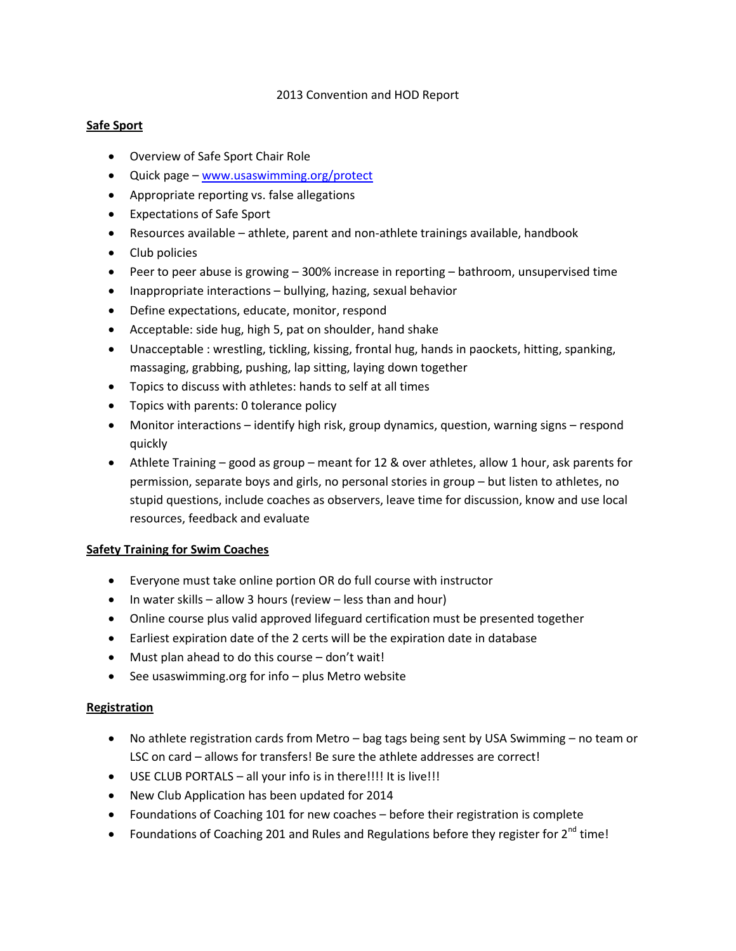#### 2013 Convention and HOD Report

## **Safe Sport**

- Overview of Safe Sport Chair Role
- Quick page [www.usaswimming.org/protect](http://www.usaswimming.org/protect)
- Appropriate reporting vs. false allegations
- Expectations of Safe Sport
- Resources available athlete, parent and non-athlete trainings available, handbook
- Club policies
- Peer to peer abuse is growing 300% increase in reporting bathroom, unsupervised time
- Inappropriate interactions bullying, hazing, sexual behavior
- Define expectations, educate, monitor, respond
- Acceptable: side hug, high 5, pat on shoulder, hand shake
- Unacceptable : wrestling, tickling, kissing, frontal hug, hands in paockets, hitting, spanking, massaging, grabbing, pushing, lap sitting, laying down together
- Topics to discuss with athletes: hands to self at all times
- Topics with parents: 0 tolerance policy
- Monitor interactions identify high risk, group dynamics, question, warning signs respond quickly
- Athlete Training good as group meant for 12 & over athletes, allow 1 hour, ask parents for permission, separate boys and girls, no personal stories in group – but listen to athletes, no stupid questions, include coaches as observers, leave time for discussion, know and use local resources, feedback and evaluate

#### **Safety Training for Swim Coaches**

- Everyone must take online portion OR do full course with instructor
- $\bullet$  In water skills allow 3 hours (review less than and hour)
- Online course plus valid approved lifeguard certification must be presented together
- Earliest expiration date of the 2 certs will be the expiration date in database
- Must plan ahead to do this course don't wait!
- See usaswimming.org for info plus Metro website

#### **Registration**

- No athlete registration cards from Metro bag tags being sent by USA Swimming no team or LSC on card – allows for transfers! Be sure the athlete addresses are correct!
- USE CLUB PORTALS all your info is in there!!!! It is live!!!
- New Club Application has been updated for 2014
- Foundations of Coaching 101 for new coaches before their registration is complete
- Foundations of Coaching 201 and Rules and Regulations before they register for  $2^{nd}$  time!